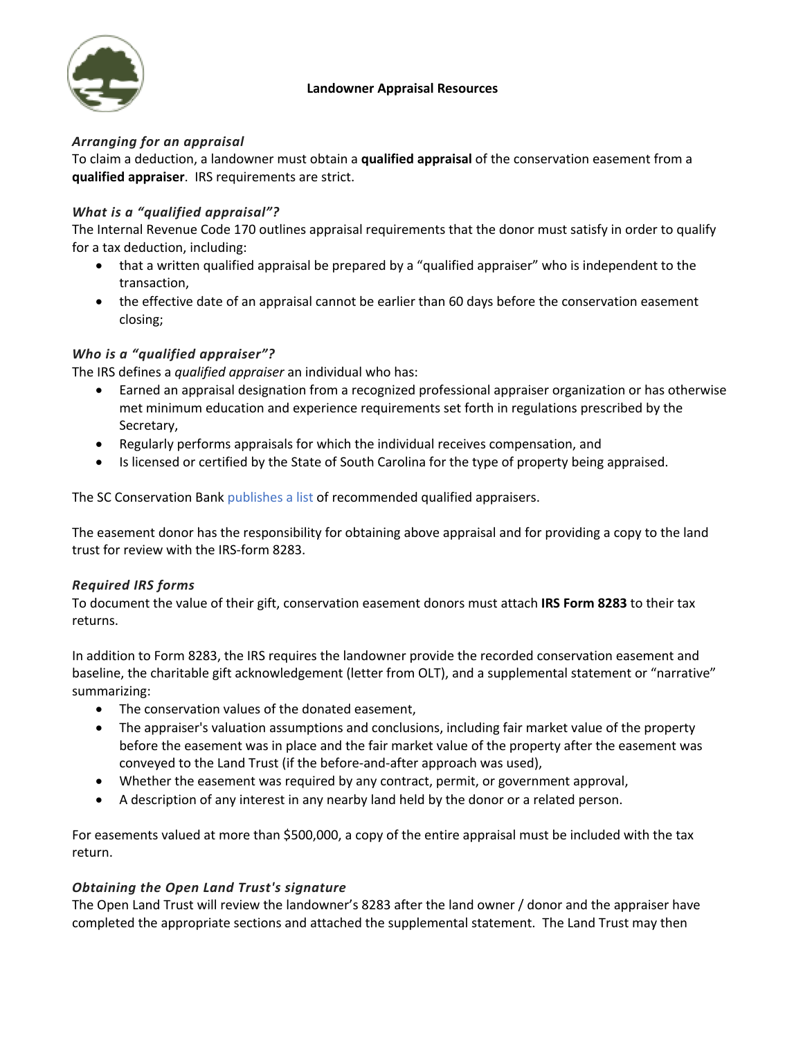

#### **Landowner Appraisal Resources**

# *Arranging for an appraisal*

To claim a deduction, a landowner must obtain a **qualified appraisal** of the conservation easement from a **qualified appraiser**. IRS requirements are strict.

### *What is a "qualified appraisal"?*

The Internal Revenue Code 170 outlines appraisal requirements that the donor must satisfy in order to qualify for a tax deduction, including:

- that a written qualified appraisal be prepared by a "qualified appraiser" who is independent to the transaction,
- the effective date of an appraisal cannot be earlier than 60 days before the conservation easement closing;

# *Who is a "qualified appraiser"?*

The IRS defines a *qualified appraiser* an individual who has:

- Earned an appraisal designation from a recognized professional appraiser organization or has otherwise met minimum education and experience requirements set forth in regulations prescribed by the Secretary,
- Regularly performs appraisals for which the individual receives compensation, and
- Is licensed or certified by the State of South Carolina for the type of property being appraised.

The SC Conservation Bank publishes a list of recommended qualified appraisers.

The easement donor has the responsibility for obtaining above appraisal and for providing a copy to the land trust for review with the IRS-form 8283.

### *Required IRS forms*

To document the value of their gift, conservation easement donors must attach **IRS Form 8283** to their tax returns.

In addition to Form 8283, the IRS requires the landowner provide the recorded conservation easement and baseline, the charitable gift acknowledgement (letter from OLT), and a supplemental statement or "narrative" summarizing:

- The conservation values of the donated easement,
- The appraiser's valuation assumptions and conclusions, including fair market value of the property before the easement was in place and the fair market value of the property after the easement was conveyed to the Land Trust (if the before-and-after approach was used),
- Whether the easement was required by any contract, permit, or government approval,
- A description of any interest in any nearby land held by the donor or a related person.

For easements valued at more than \$500,000, a copy of the entire appraisal must be included with the tax return.

### *Obtaining the Open Land Trust's signature*

The Open Land Trust will review the landowner's 8283 after the land owner / donor and the appraiser have completed the appropriate sections and attached the supplemental statement. The Land Trust may then